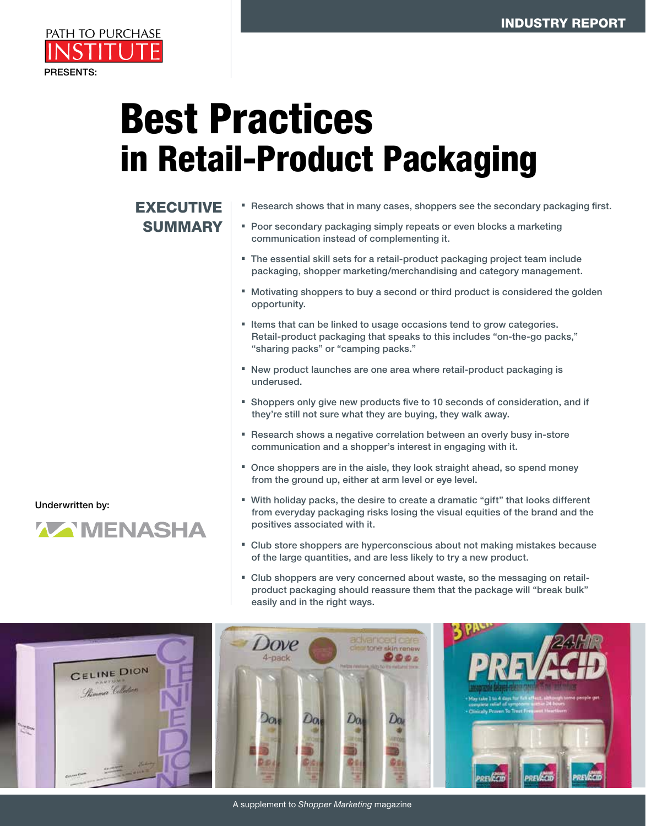

# Best Practices in Retail-Product Packaging

## EXECUTIVE **SUMMARY**

- **Research shows that in many cases, shoppers see the secondary packaging first.** 
	- **Poor secondary packaging simply repeats or even blocks a marketing** communication instead of complementing it.
	- **The essential skill sets for a retail-product packaging project team include** packaging, shopper marketing/merchandising and category management.
	- Motivating shoppers to buy a second or third product is considered the golden opportunity.
	- Items that can be linked to usage occasions tend to grow categories. Retail-product packaging that speaks to this includes "on-the-go packs," "sharing packs" or "camping packs."
	- <sup>n</sup> New product launches are one area where retail-product packaging is underused.
	- **EX Shoppers only give new products five to 10 seconds of consideration, and if** they're still not sure what they are buying, they walk away.
	- Research shows a negative correlation between an overly busy in-store communication and a shopper's interest in engaging with it.
	- Once shoppers are in the aisle, they look straight ahead, so spend money from the ground up, either at arm level or eye level.
	- <sup>n</sup> With holiday packs, the desire to create a dramatic "gift" that looks different from everyday packaging risks losing the visual equities of the brand and the positives associated with it.
	- <sup>n</sup> Club store shoppers are hyperconscious about not making mistakes because of the large quantities, and are less likely to try a new product.
	- <sup>n</sup> Club shoppers are very concerned about waste, so the messaging on retailproduct packaging should reassure them that the package will "break bulk" easily and in the right ways.



Underwritten by:

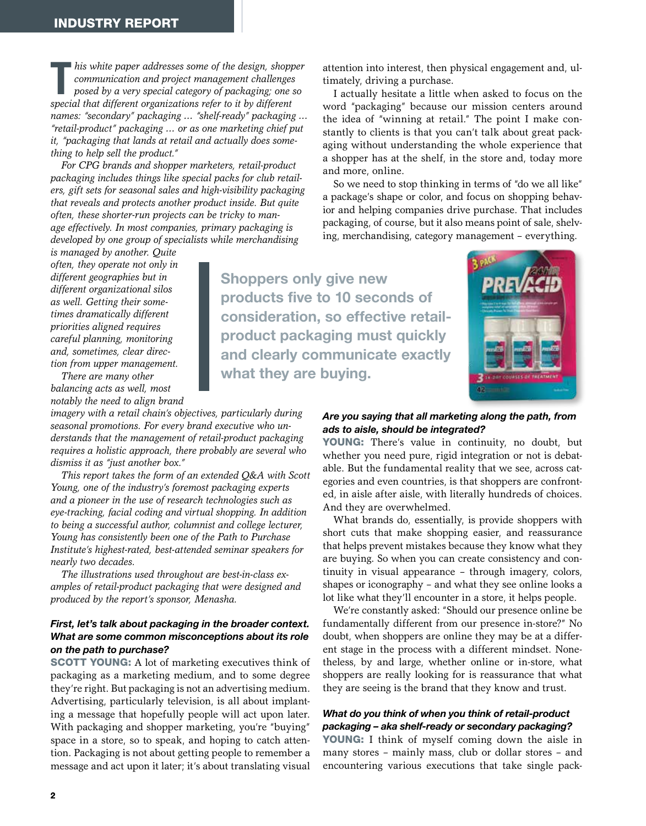his white paper addresses some of the design, shopp communication and project management challenges posed by a very special category of packaging; one special that different organizations refer to it by different *his white paper addresses some of the design, shopper communication and project management challenges posed by a very special category of packaging; one so names: "secondary" packaging … "shelf-ready" packaging … "retail-product" packaging … or as one marketing chief put it, "packaging that lands at retail and actually does something to help sell the product."*

*For CPG brands and shopper marketers, retail-product packaging includes things like special packs for club retailers, gift sets for seasonal sales and high-visibility packaging that reveals and protects another product inside. But quite often, these shorter-run projects can be tricky to manage effectively. In most companies, primary packaging is developed by one group of specialists while merchandising* 

*is managed by another. Quite often, they operate not only in different geographies but in different organizational silos as well. Getting their sometimes dramatically different priorities aligned requires careful planning, monitoring and, sometimes, clear direction from upper management.*

*There are many other balancing acts as well, most notably the need to align brand* 

*imagery with a retail chain's objectives, particularly during seasonal promotions. For every brand executive who understands that the management of retail-product packaging requires a holistic approach, there probably are several who dismiss it as "just another box."*

*This report takes the form of an extended Q&A with Scott Young, one of the industry's foremost packaging experts and a pioneer in the use of research technologies such as eye-tracking, facial coding and virtual shopping. In addition to being a successful author, columnist and college lecturer, Young has consistently been one of the Path to Purchase Institute's highest-rated, best-attended seminar speakers for nearly two decades.*

*The illustrations used throughout are best-in-class examples of retail-product packaging that were designed and produced by the report's sponsor, Menasha.*

#### *First, let's talk about packaging in the broader context. What are some common misconceptions about its role on the path to purchase?*

SCOTT YOUNG: A lot of marketing executives think of packaging as a marketing medium, and to some degree they're right. But packaging is not an advertising medium. Advertising, particularly television, is all about implanting a message that hopefully people will act upon later. With packaging and shopper marketing, you're "buying" space in a store, so to speak, and hoping to catch attention. Packaging is not about getting people to remember a message and act upon it later; it's about translating visual attention into interest, then physical engagement and, ultimately, driving a purchase.

I actually hesitate a little when asked to focus on the word "packaging" because our mission centers around the idea of "winning at retail." The point I make constantly to clients is that you can't talk about great packaging without understanding the whole experience that a shopper has at the shelf, in the store and, today more and more, online.

So we need to stop thinking in terms of "do we all like" a package's shape or color, and focus on shopping behavior and helping companies drive purchase. That includes packaging, of course, but it also means point of sale, shelving, merchandising, category management – everything.

Shoppers only give new products five to 10 seconds of consideration, so effective retailproduct packaging must quickly and clearly communicate exactly what they are buying.



#### *Are you saying that all marketing along the path, from ads to aisle, should be integrated?*

YOUNG: There's value in continuity, no doubt, but whether you need pure, rigid integration or not is debatable. But the fundamental reality that we see, across categories and even countries, is that shoppers are confronted, in aisle after aisle, with literally hundreds of choices. And they are overwhelmed.

What brands do, essentially, is provide shoppers with short cuts that make shopping easier, and reassurance that helps prevent mistakes because they know what they are buying. So when you can create consistency and continuity in visual appearance – through imagery, colors, shapes or iconography – and what they see online looks a lot like what they'll encounter in a store, it helps people.

We're constantly asked: "Should our presence online be fundamentally different from our presence in-store?" No doubt, when shoppers are online they may be at a different stage in the process with a different mindset. Nonetheless, by and large, whether online or in-store, what shoppers are really looking for is reassurance that what they are seeing is the brand that they know and trust.

#### *What do you think of when you think of retail-product packaging – aka shelf-ready or secondary packaging?*

**YOUNG:** I think of myself coming down the aisle in many stores – mainly mass, club or dollar stores – and encountering various executions that take single pack-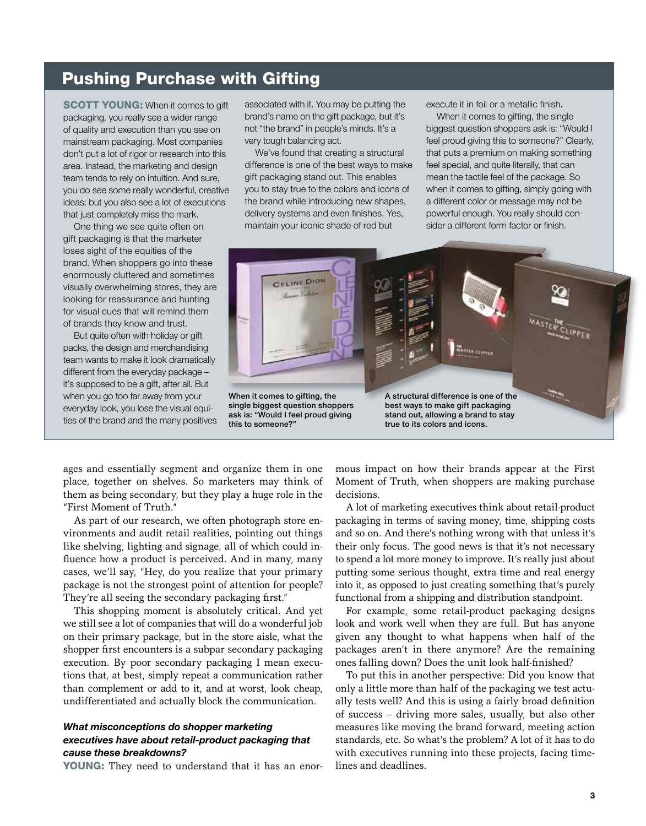## Pushing Purchase with Gifting

**SCOTT YOUNG:** When it comes to gift packaging, you really see a wider range of quality and execution than you see on mainstream packaging. Most companies don't put a lot of rigor or research into this area. Instead, the marketing and design team tends to rely on intuition. And sure, you do see some really wonderful, creative ideas; but you also see a lot of executions that just completely miss the mark.

One thing we see quite often on gift packaging is that the marketer loses sight of the equities of the brand. When shoppers go into these enormously cluttered and sometimes visually overwhelming stores, they are looking for reassurance and hunting for visual cues that will remind them of brands they know and trust.

But quite often with holiday or gift packs, the design and merchandising team wants to make it look dramatically different from the everyday package – it's supposed to be a gift, after all. But when you go too far away from your everyday look, you lose the visual equities of the brand and the many positives associated with it. You may be putting the brand's name on the gift package, but it's not "the brand" in people's minds. It's a very tough balancing act.

We've found that creating a structural difference is one of the best ways to make gift packaging stand out. This enables you to stay true to the colors and icons of the brand while introducing new shapes, delivery systems and even finishes. Yes, maintain your iconic shade of red but

execute it in foil or a metallic finish.

When it comes to gifting, the single biggest question shoppers ask is: "Would I feel proud giving this to someone?" Clearly, that puts a premium on making something feel special, and quite literally, that can mean the tactile feel of the package. So when it comes to gifting, simply going with a different color or message may not be powerful enough. You really should consider a different form factor or finish.



ages and essentially segment and organize them in one place, together on shelves. So marketers may think of them as being secondary, but they play a huge role in the "First Moment of Truth."

As part of our research, we often photograph store environments and audit retail realities, pointing out things like shelving, lighting and signage, all of which could influence how a product is perceived. And in many, many cases, we'll say, "Hey, do you realize that your primary package is not the strongest point of attention for people? They're all seeing the secondary packaging first."

This shopping moment is absolutely critical. And yet we still see a lot of companies that will do a wonderful job on their primary package, but in the store aisle, what the shopper first encounters is a subpar secondary packaging execution. By poor secondary packaging I mean executions that, at best, simply repeat a communication rather than complement or add to it, and at worst, look cheap, undifferentiated and actually block the communication.

#### *What misconceptions do shopper marketing executives have about retail-product packaging that cause these breakdowns?*

YOUNG: They need to understand that it has an enor-

mous impact on how their brands appear at the First Moment of Truth, when shoppers are making purchase decisions.

A lot of marketing executives think about retail-product packaging in terms of saving money, time, shipping costs and so on. And there's nothing wrong with that unless it's their only focus. The good news is that it's not necessary to spend a lot more money to improve. It's really just about putting some serious thought, extra time and real energy into it, as opposed to just creating something that's purely functional from a shipping and distribution standpoint.

For example, some retail-product packaging designs look and work well when they are full. But has anyone given any thought to what happens when half of the packages aren't in there anymore? Are the remaining ones falling down? Does the unit look half-finished?

To put this in another perspective: Did you know that only a little more than half of the packaging we test actually tests well? And this is using a fairly broad definition of success – driving more sales, usually, but also other measures like moving the brand forward, meeting action standards, etc. So what's the problem? A lot of it has to do with executives running into these projects, facing timelines and deadlines.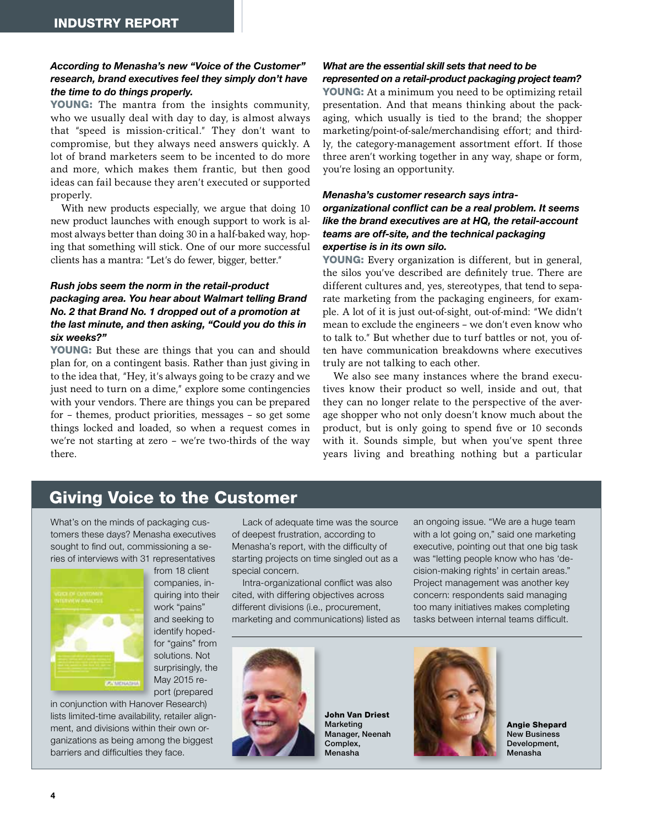#### *According to Menasha's new "Voice of the Customer" research, brand executives feel they simply don't have the time to do things properly.*

YOUNG: The mantra from the insights community, who we usually deal with day to day, is almost always that "speed is mission-critical." They don't want to compromise, but they always need answers quickly. A lot of brand marketers seem to be incented to do more and more, which makes them frantic, but then good ideas can fail because they aren't executed or supported properly.

With new products especially, we argue that doing 10 new product launches with enough support to work is almost always better than doing 30 in a half-baked way, hoping that something will stick. One of our more successful clients has a mantra: "Let's do fewer, bigger, better."

#### *Rush jobs seem the norm in the retail-product packaging area. You hear about Walmart telling Brand No. 2 that Brand No. 1 dropped out of a promotion at the last minute, and then asking, "Could you do this in six weeks?"*

YOUNG: But these are things that you can and should plan for, on a contingent basis. Rather than just giving in to the idea that, "Hey, it's always going to be crazy and we just need to turn on a dime," explore some contingencies with your vendors. There are things you can be prepared for – themes, product priorities, messages – so get some things locked and loaded, so when a request comes in we're not starting at zero – we're two-thirds of the way there.

#### *What are the essential skill sets that need to be represented on a retail-product packaging project team?*

YOUNG: At a minimum you need to be optimizing retail presentation. And that means thinking about the packaging, which usually is tied to the brand; the shopper marketing/point-of-sale/merchandising effort; and thirdly, the category-management assortment effort. If those three aren't working together in any way, shape or form, you're losing an opportunity.

#### *Menasha's customer research says intraorganizational conflict can be a real problem. It seems like the brand executives are at HQ, the retail-account teams are off-site, and the technical packaging expertise is in its own silo.*

YOUNG: Every organization is different, but in general, the silos you've described are definitely true. There are different cultures and, yes, stereotypes, that tend to separate marketing from the packaging engineers, for example. A lot of it is just out-of-sight, out-of-mind: "We didn't mean to exclude the engineers – we don't even know who to talk to." But whether due to turf battles or not, you often have communication breakdowns where executives truly are not talking to each other.

We also see many instances where the brand executives know their product so well, inside and out, that they can no longer relate to the perspective of the average shopper who not only doesn't know much about the product, but is only going to spend five or 10 seconds with it. Sounds simple, but when you've spent three years living and breathing nothing but a particular

## Giving Voice to the Customer

What's on the minds of packaging customers these days? Menasha executives sought to find out, commissioning a series of interviews with 31 representatives



from 18 client companies, inquiring into their work "pains" and seeking to identify hopedfor "gains" from solutions. Not surprisingly, the May 2015 report (prepared

in conjunction with Hanover Research) lists limited-time availability, retailer alignment, and divisions within their own organizations as being among the biggest barriers and difficulties they face.

Lack of adequate time was the source of deepest frustration, according to Menasha's report, with the difficulty of starting projects on time singled out as a special concern.

Intra-organizational conflict was also cited, with differing objectives across different divisions (i.e., procurement, marketing and communications) listed as an ongoing issue. "We are a huge team with a lot going on," said one marketing executive, pointing out that one big task was "letting people know who has 'decision-making rights' in certain areas." Project management was another key concern: respondents said managing too many initiatives makes completing tasks between internal teams difficult.



John Van Driest Marketing Manager, Neenah Complex, Menasha



Angie Shepard New Business Development, Menasha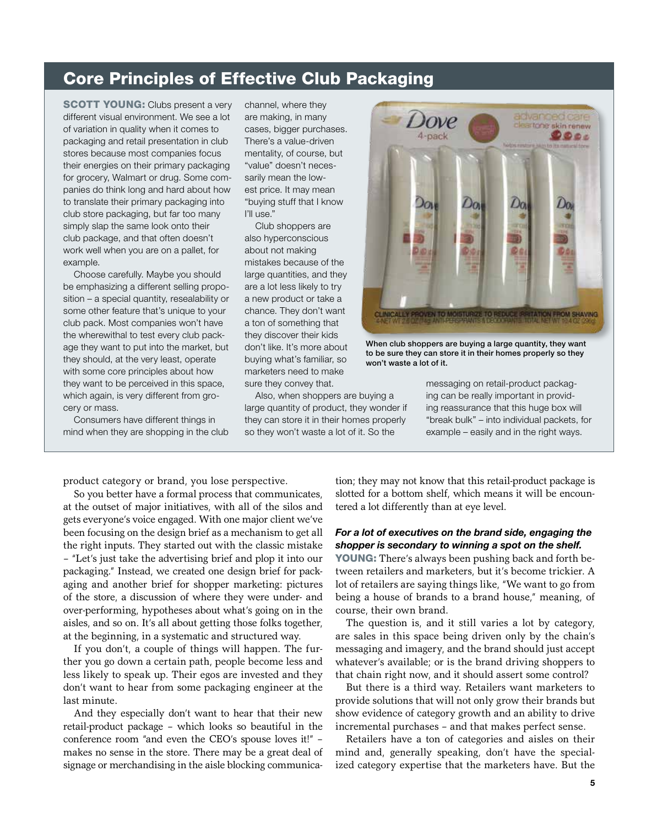## Core Principles of Effective Club Packaging

**SCOTT YOUNG:** Clubs present a very different visual environment. We see a lot of variation in quality when it comes to packaging and retail presentation in club stores because most companies focus their energies on their primary packaging for grocery, Walmart or drug. Some companies do think long and hard about how to translate their primary packaging into club store packaging, but far too many simply slap the same look onto their club package, and that often doesn't work well when you are on a pallet, for example.

Choose carefully. Maybe you should be emphasizing a different selling proposition – a special quantity, resealability or some other feature that's unique to your club pack. Most companies won't have the wherewithal to test every club package they want to put into the market, but they should, at the very least, operate with some core principles about how they want to be perceived in this space, which again, is very different from grocery or mass.

Consumers have different things in mind when they are shopping in the club channel, where they are making, in many cases, bigger purchases. There's a value-driven mentality, of course, but "value" doesn't necessarily mean the lowest price. It may mean "buying stuff that I know I'll use."

Club shoppers are also hyperconscious about not making mistakes because of the large quantities, and they are a lot less likely to try a new product or take a chance. They don't want a ton of something that they discover their kids don't like. It's more about buying what's familiar, so marketers need to make sure they convey that.

Also, when shoppers are buying a large quantity of product, they wonder if they can store it in their homes properly so they won't waste a lot of it. So the



When club shoppers are buying a large quantity, they want to be sure they can store it in their homes properly so they won't waste a lot of it.

messaging on retail-product packaging can be really important in providing reassurance that this huge box will "break bulk" – into individual packets, for example – easily and in the right ways.

product category or brand, you lose perspective.

So you better have a formal process that communicates, at the outset of major initiatives, with all of the silos and gets everyone's voice engaged. With one major client we've been focusing on the design brief as a mechanism to get all the right inputs. They started out with the classic mistake – "Let's just take the advertising brief and plop it into our packaging." Instead, we created one design brief for packaging and another brief for shopper marketing: pictures of the store, a discussion of where they were under- and over-performing, hypotheses about what's going on in the aisles, and so on. It's all about getting those folks together, at the beginning, in a systematic and structured way.

If you don't, a couple of things will happen. The further you go down a certain path, people become less and less likely to speak up. Their egos are invested and they don't want to hear from some packaging engineer at the last minute.

And they especially don't want to hear that their new retail-product package – which looks so beautiful in the conference room "and even the CEO's spouse loves it!" – makes no sense in the store. There may be a great deal of signage or merchandising in the aisle blocking communica-

tion; they may not know that this retail-product package is slotted for a bottom shelf, which means it will be encountered a lot differently than at eye level.

#### *For a lot of executives on the brand side, engaging the shopper is secondary to winning a spot on the shelf.*

YOUNG: There's always been pushing back and forth between retailers and marketers, but it's become trickier. A lot of retailers are saying things like, "We want to go from being a house of brands to a brand house," meaning, of course, their own brand.

The question is, and it still varies a lot by category, are sales in this space being driven only by the chain's messaging and imagery, and the brand should just accept whatever's available; or is the brand driving shoppers to that chain right now, and it should assert some control?

But there is a third way. Retailers want marketers to provide solutions that will not only grow their brands but show evidence of category growth and an ability to drive incremental purchases – and that makes perfect sense.

Retailers have a ton of categories and aisles on their mind and, generally speaking, don't have the specialized category expertise that the marketers have. But the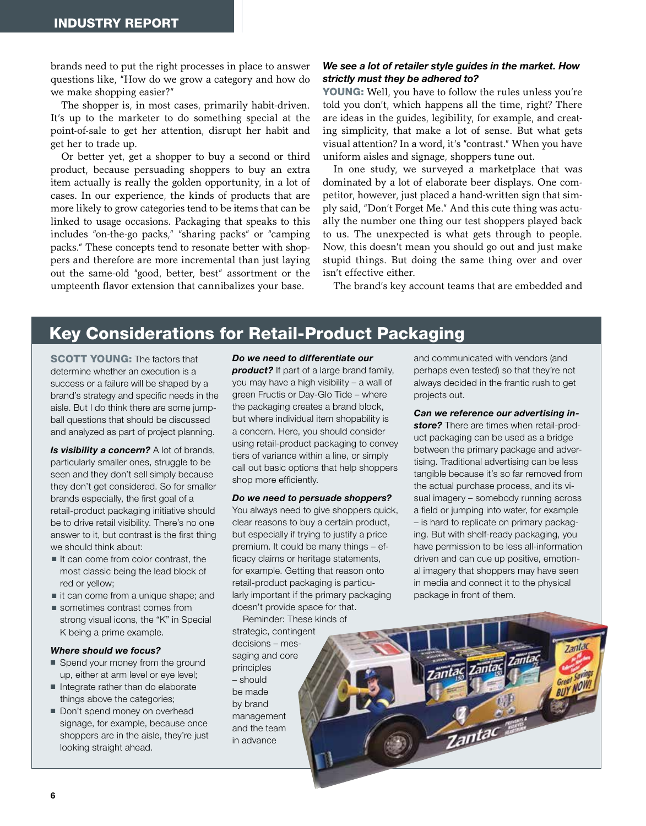brands need to put the right processes in place to answer questions like, "How do we grow a category and how do we make shopping easier?"

The shopper is, in most cases, primarily habit-driven. It's up to the marketer to do something special at the point-of-sale to get her attention, disrupt her habit and get her to trade up.

Or better yet, get a shopper to buy a second or third product, because persuading shoppers to buy an extra item actually is really the golden opportunity, in a lot of cases. In our experience, the kinds of products that are more likely to grow categories tend to be items that can be linked to usage occasions. Packaging that speaks to this includes "on-the-go packs," "sharing packs" or "camping packs." These concepts tend to resonate better with shoppers and therefore are more incremental than just laying out the same-old "good, better, best" assortment or the umpteenth flavor extension that cannibalizes your base.

#### *We see a lot of retailer style guides in the market. How strictly must they be adhered to?*

YOUNG: Well, you have to follow the rules unless you're told you don't, which happens all the time, right? There are ideas in the guides, legibility, for example, and creating simplicity, that make a lot of sense. But what gets visual attention? In a word, it's "contrast." When you have uniform aisles and signage, shoppers tune out.

In one study, we surveyed a marketplace that was dominated by a lot of elaborate beer displays. One competitor, however, just placed a hand-written sign that simply said, "Don't Forget Me." And this cute thing was actually the number one thing our test shoppers played back to us. The unexpected is what gets through to people. Now, this doesn't mean you should go out and just make stupid things. But doing the same thing over and over isn't effective either.

The brand's key account teams that are embedded and

## Key Considerations for Retail-Product Packaging

**SCOTT YOUNG: The factors that** determine whether an execution is a success or a failure will be shaped by a brand's strategy and specific needs in the aisle. But I do think there are some jumpball questions that should be discussed and analyzed as part of project planning.

*Is visibility a concern?* A lot of brands, particularly smaller ones, struggle to be seen and they don't sell simply because they don't get considered. So for smaller brands especially, the first goal of a retail-product packaging initiative should be to drive retail visibility. There's no one answer to it, but contrast is the first thing we should think about:

- $\blacksquare$  It can come from color contrast, the most classic being the lead block of red or yellow;
- $\blacksquare$  it can come from a unique shape; and
- $\blacksquare$  sometimes contrast comes from strong visual icons, the "K" in Special K being a prime example.

#### *Where should we focus?*

- Spend your money from the ground up, either at arm level or eye level;
- ntegrate rather than do elaborate things above the categories;
- Don't spend money on overhead signage, for example, because once shoppers are in the aisle, they're just looking straight ahead.

#### *Do we need to differentiate our*

**product?** If part of a large brand family, you may have a high visibility – a wall of green Fructis or Day-Glo Tide – where the packaging creates a brand block, but where individual item shopability is a concern. Here, you should consider using retail-product packaging to convey tiers of variance within a line, or simply call out basic options that help shoppers shop more efficiently.

#### *Do we need to persuade shoppers?*

You always need to give shoppers quick, clear reasons to buy a certain product, but especially if trying to justify a price premium. It could be many things – efficacy claims or heritage statements, for example. Getting that reason onto retail-product packaging is particularly important if the primary packaging doesn't provide space for that.

Reminder: These kinds of strategic, contingent decisions – messaging and core principles – should be made by brand management and the team in advance

and communicated with vendors (and perhaps even tested) so that they're not always decided in the frantic rush to get projects out.

*Can we reference our advertising instore?* There are times when retail-product packaging can be used as a bridge between the primary package and advertising. Traditional advertising can be less tangible because it's so far removed from the actual purchase process, and its visual imagery – somebody running across a field or jumping into water, for example – is hard to replicate on primary packaging. But with shelf-ready packaging, you have permission to be less all-information driven and can cue up positive, emotional imagery that shoppers may have seen in media and connect it to the physical package in front of them.

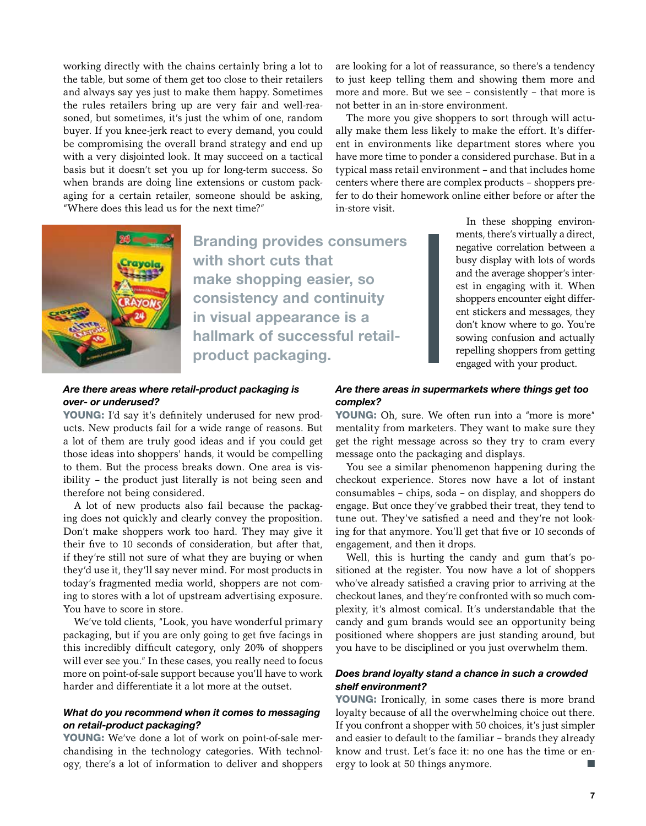working directly with the chains certainly bring a lot to the table, but some of them get too close to their retailers and always say yes just to make them happy. Sometimes the rules retailers bring up are very fair and well-reasoned, but sometimes, it's just the whim of one, random buyer. If you knee-jerk react to every demand, you could be compromising the overall brand strategy and end up with a very disjointed look. It may succeed on a tactical basis but it doesn't set you up for long-term success. So when brands are doing line extensions or custom packaging for a certain retailer, someone should be asking, "Where does this lead us for the next time?"



The more you give shoppers to sort through will actually make them less likely to make the effort. It's different in environments like department stores where you have more time to ponder a considered purchase. But in a typical mass retail environment – and that includes home centers where there are complex products – shoppers prefer to do their homework online either before or after the in-store visit.



Branding provides consumers with short cuts that make shopping easier, so consistency and continuity in visual appearance is a hallmark of successful retailproduct packaging.

In these shopping environments, there's virtually a direct, negative correlation between a busy display with lots of words and the average shopper's interest in engaging with it. When shoppers encounter eight different stickers and messages, they don't know where to go. You're sowing confusion and actually repelling shoppers from getting engaged with your product.

#### *Are there areas where retail-product packaging is over- or underused?*

YOUNG: I'd say it's definitely underused for new products. New products fail for a wide range of reasons. But a lot of them are truly good ideas and if you could get those ideas into shoppers' hands, it would be compelling to them. But the process breaks down. One area is visibility – the product just literally is not being seen and therefore not being considered.

A lot of new products also fail because the packaging does not quickly and clearly convey the proposition. Don't make shoppers work too hard. They may give it their five to 10 seconds of consideration, but after that, if they're still not sure of what they are buying or when they'd use it, they'll say never mind. For most products in today's fragmented media world, shoppers are not coming to stores with a lot of upstream advertising exposure. You have to score in store.

We've told clients, "Look, you have wonderful primary packaging, but if you are only going to get five facings in this incredibly difficult category, only 20% of shoppers will ever see you." In these cases, you really need to focus more on point-of-sale support because you'll have to work harder and differentiate it a lot more at the outset.

#### *What do you recommend when it comes to messaging on retail-product packaging?*

YOUNG: We've done a lot of work on point-of-sale merchandising in the technology categories. With technology, there's a lot of information to deliver and shoppers

#### *Are there areas in supermarkets where things get too complex?*

YOUNG: Oh, sure. We often run into a "more is more" mentality from marketers. They want to make sure they get the right message across so they try to cram every message onto the packaging and displays.

You see a similar phenomenon happening during the checkout experience. Stores now have a lot of instant consumables – chips, soda – on display, and shoppers do engage. But once they've grabbed their treat, they tend to tune out. They've satisfied a need and they're not looking for that anymore. You'll get that five or 10 seconds of engagement, and then it drops.

Well, this is hurting the candy and gum that's positioned at the register. You now have a lot of shoppers who've already satisfied a craving prior to arriving at the checkout lanes, and they're confronted with so much complexity, it's almost comical. It's understandable that the candy and gum brands would see an opportunity being positioned where shoppers are just standing around, but you have to be disciplined or you just overwhelm them.

#### *Does brand loyalty stand a chance in such a crowded shelf environment?*

YOUNG: Ironically, in some cases there is more brand loyalty because of all the overwhelming choice out there. If you confront a shopper with 50 choices, it's just simpler and easier to default to the familiar – brands they already know and trust. Let's face it: no one has the time or energy to look at 50 things anymore.